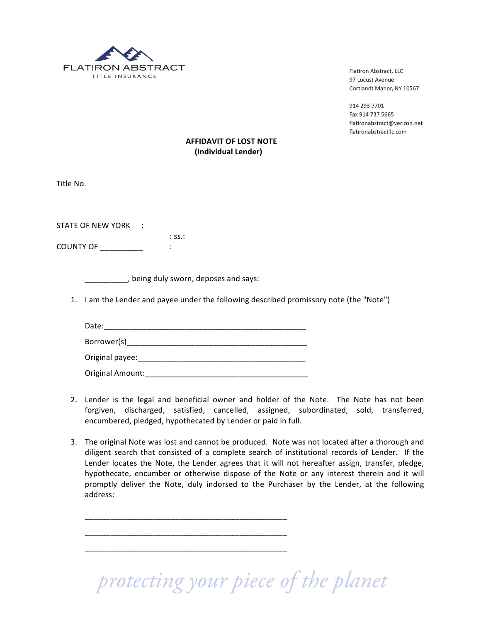

Flatiron Abstract, LLC 97 Locust Avenue Cortlandt Manor, NY 10567

914 293 7701 Fax 914 737 5665 flatironabstract@verizon.net flatironabstractllc.com

## **AFFIDAVIT OF LOST NOTE (Individual Lender)**

Title No.

STATE OF NEW YORK :  $:$  SS $.$ :

COUNTY!OF!\_\_\_\_\_\_\_\_\_\_ :

, being duly sworn, deposes and says:

1. I am the Lender and payee under the following described promissory note (the "Note")

Date:\_\_\_\_\_\_\_\_\_\_\_\_\_\_\_\_\_\_\_\_\_\_\_\_\_\_\_\_\_\_\_\_\_\_\_\_\_\_\_\_\_\_\_\_\_\_\_ Borrower(s)\_\_\_\_\_\_\_\_\_\_\_\_\_\_\_\_\_\_\_\_\_\_\_\_\_\_\_\_\_\_\_\_\_\_\_\_\_\_\_\_\_\_ Original!payee:\_\_\_\_\_\_\_\_\_\_\_\_\_\_\_\_\_\_\_\_\_\_\_\_\_\_\_\_\_\_\_\_\_\_\_\_\_\_\_ Original!Amount:\_\_\_\_\_\_\_\_\_\_\_\_\_\_\_\_\_\_\_\_\_\_\_\_\_\_\_\_\_\_\_\_\_\_\_\_\_\_

\_\_\_\_\_\_\_\_\_\_\_\_\_\_\_\_\_\_\_\_\_\_\_\_\_\_\_\_\_\_\_\_\_\_\_\_\_\_\_\_\_\_\_\_\_\_\_

\_\_\_\_\_\_\_\_\_\_\_\_\_\_\_\_\_\_\_\_\_\_\_\_\_\_\_\_\_\_\_\_\_\_\_\_\_\_\_\_\_\_\_\_\_\_\_

\_\_\_\_\_\_\_\_\_\_\_\_\_\_\_\_\_\_\_\_\_\_\_\_\_\_\_\_\_\_\_\_\_\_\_\_\_\_\_\_\_\_\_\_\_\_\_

- 2. Lender is the legal and beneficial owner and holder of the Note. The Note has not been forgiven, discharged, satisfied, cancelled, assigned, subordinated, sold, transferred, encumbered, pledged, hypothecated by Lender or paid in full.
- 3. The original Note was lost and cannot be produced. Note was not located after a thorough and diligent search that consisted of a complete search of institutional records of Lender. If the Lender locates the Note, the Lender agrees that it will not hereafter assign, transfer, pledge, hypothecate, encumber or otherwise dispose of the Note or any interest therein and it will promptly deliver the Note, duly indorsed to the Purchaser by the Lender, at the following address:

 *protecting your piece of the planet*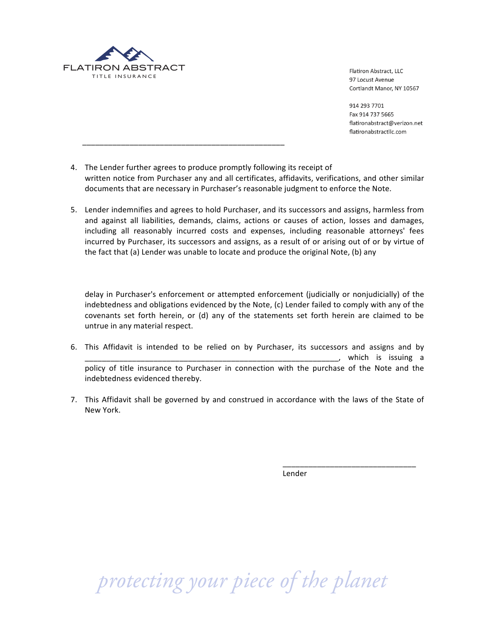

!!!!!!\_\_\_\_\_\_\_\_\_\_\_\_\_\_\_\_\_\_\_\_\_\_\_\_\_\_\_\_\_\_\_\_\_\_\_\_\_\_\_\_\_\_\_\_\_\_\_

Flatiron Abstract, LLC 97 Locust Avenue Cortlandt Manor, NY 10567

914 293 7701 Fax 914 737 5665 flatironabstract@verizon.net flatironabstractllc.com

- 4. The Lender further agrees to produce promptly following its receipt of written notice from Purchaser any and all certificates, affidavits, verifications, and other similar documents that are necessary in Purchaser's reasonable judgment to enforce the Note.
- 5. Lender indemnifies and agrees to hold Purchaser, and its successors and assigns, harmless from and against all liabilities, demands, claims, actions or causes of action, losses and damages, including all reasonably incurred costs and expenses, including reasonable attorneys' fees incurred by Purchaser, its successors and assigns, as a result of or arising out of or by virtue of the fact that (a) Lender was unable to locate and produce the original Note, (b) any

delay in Purchaser's enforcement or attempted enforcement (judicially or nonjudicially) of the indebtedness and obligations evidenced by the Note,  $(c)$  Lender failed to comply with any of the covenants set forth herein, or (d) any of the statements set forth herein are claimed to be untrue in any material respect.

- 6. This Affidavit is intended to be relied on by Purchaser, its successors and assigns and by \_\_\_\_\_\_\_\_\_\_\_\_\_\_\_\_\_\_\_\_\_\_\_\_\_\_\_\_\_\_\_\_\_\_\_\_\_\_\_\_\_\_\_\_\_\_\_\_\_\_\_\_\_\_\_\_\_\_\_,! which! is! issuing! a! policy of title insurance to Purchaser in connection with the purchase of the Note and the indebtedness evidenced thereby.
- 7. This Affidavit shall be governed by and construed in accordance with the laws of the State of New York.

Lender

\_\_\_\_\_\_\_\_\_\_\_\_\_\_\_\_\_\_\_\_\_\_\_\_\_\_\_\_\_\_\_!

 *protecting your piece of the planet*